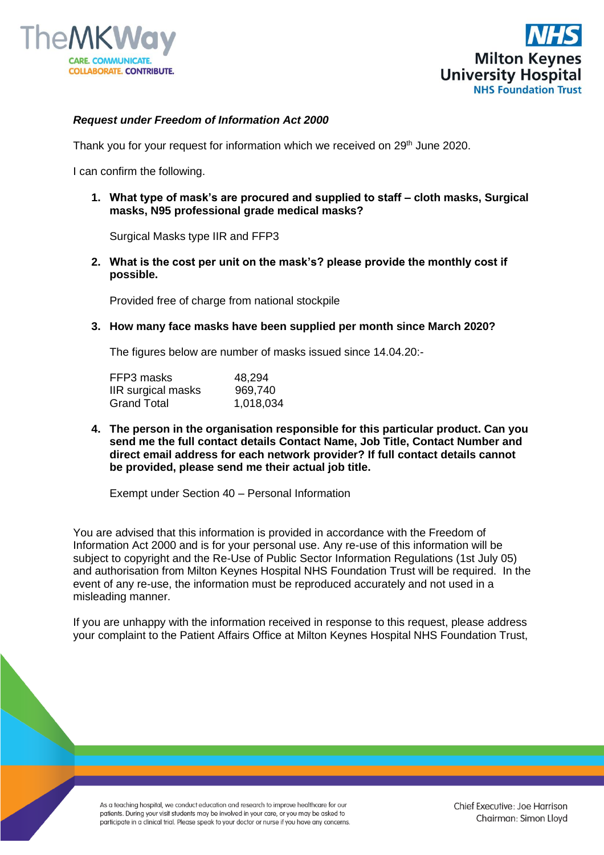



## *Request under Freedom of Information Act 2000*

Thank you for your request for information which we received on 29<sup>th</sup> June 2020.

I can confirm the following.

**1. What type of mask's are procured and supplied to staff – cloth masks, Surgical masks, N95 professional grade medical masks?**

Surgical Masks type IIR and FFP3

**2. What is the cost per unit on the mask's? please provide the monthly cost if possible.** 

Provided free of charge from national stockpile

**3. How many face masks have been supplied per month since March 2020?** 

The figures below are number of masks issued since 14.04.20:-

| FFP3 masks         | 48,294    |
|--------------------|-----------|
| IIR surgical masks | 969,740   |
| <b>Grand Total</b> | 1,018,034 |

**4. The person in the organisation responsible for this particular product. Can you send me the full contact details Contact Name, Job Title, Contact Number and direct email address for each network provider? If full contact details cannot be provided, please send me their actual job title.**

Exempt under Section 40 – Personal Information

You are advised that this information is provided in accordance with the Freedom of Information Act 2000 and is for your personal use. Any re-use of this information will be subject to copyright and the Re-Use of Public Sector Information Regulations (1st July 05) and authorisation from Milton Keynes Hospital NHS Foundation Trust will be required. In the event of any re-use, the information must be reproduced accurately and not used in a misleading manner.

If you are unhappy with the information received in response to this request, please address your complaint to the Patient Affairs Office at Milton Keynes Hospital NHS Foundation Trust,

As a teaching hospital, we conduct education and research to improve healthcare for our patients. During your visit students may be involved in your care, or you may be asked to participate in a clinical trial. Please speak to your doctor or nurse if you have any concerns.